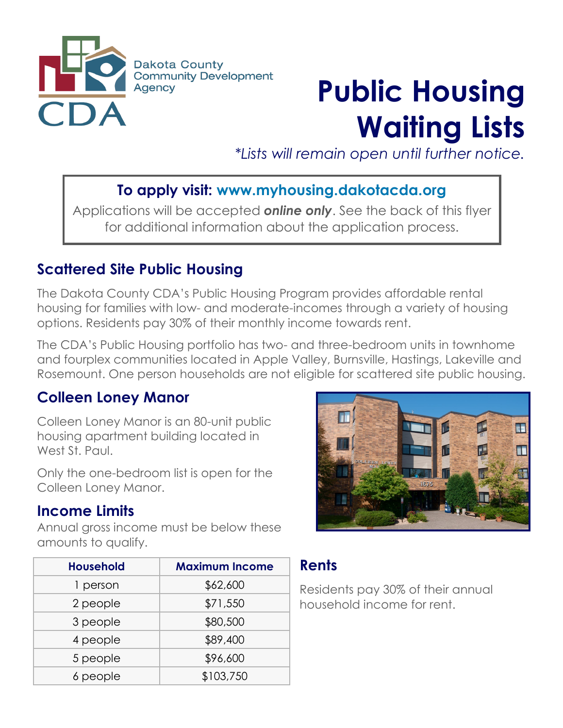

# **Public Housing Waiting Lists**

*\*Lists will remain open until further notice.*

## **To apply visit: www.myhousing.dakotacda.org**

Applications will be accepted *online only*. See the back of this flyer for additional information about the application process.

#### **Scattered Site Public Housing**

The Dakota County CDA's Public Housing Program provides affordable rental housing for families with low- and moderate-incomes through a variety of housing options. Residents pay 30% of their monthly income towards rent.

The CDA's Public Housing portfolio has two- and three-bedroom units in townhome and fourplex communities located in Apple Valley, Burnsville, Hastings, Lakeville and Rosemount. One person households are not eligible for scattered site public housing.

# **Colleen Loney Manor**

Colleen Loney Manor is an 80-unit public housing apartment building located in West St. Paul.

Only the one-bedroom list is open for the Colleen Loney Manor.

#### **Income Limits**

Annual gross income must be below these amounts to qualify.



| <b>Household</b> | <b>Maximum Income</b> |
|------------------|-----------------------|
| 1 person         | \$62,600              |
| 2 people         | \$71,550              |
| 3 people         | \$80,500              |
| 4 people         | \$89,400              |
| 5 people         | \$96,600              |
| 6 people         | \$103,750             |

# **Rents**

Residents pay 30% of their annual household income for rent.